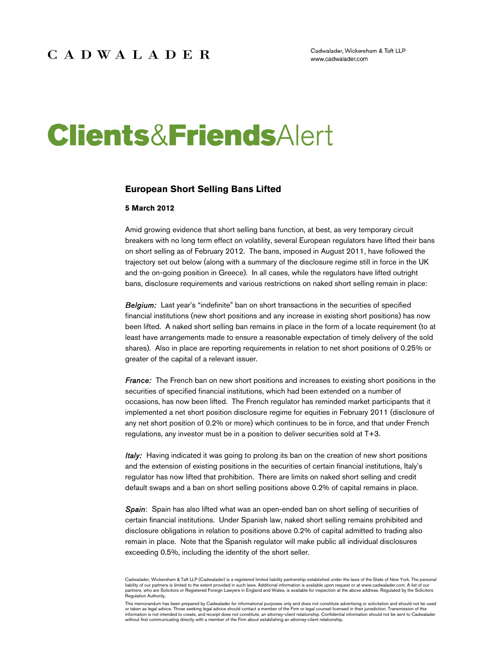Cadwalader, Wickersham & Taft LLP www.cadwalader.com

# **Clients&FriendsAlert**

#### **European Short Selling Bans Lifted**

#### **5 March 2012**

Amid growing evidence that short selling bans function, at best, as very temporary circuit breakers with no long term effect on volatility, several European regulators have lifted their bans on short selling as of February 2012. The bans, imposed in August 2011, have followed the trajectory set out below (along with a summary of the disclosure regime still in force in the UK and the on-going position in Greece). In all cases, while the regulators have lifted outright bans, disclosure requirements and various restrictions on naked short selling remain in place:

*Belgium:* Last year's "indefinite" ban on short transactions in the securities of specified financial institutions (new short positions and any increase in existing short positions) has now been lifted. A naked short selling ban remains in place in the form of a locate requirement (to at least have arrangements made to ensure a reasonable expectation of timely delivery of the sold shares). Also in place are reporting requirements in relation to net short positions of 0.25% or greater of the capital of a relevant issuer.

*France:* The French ban on new short positions and increases to existing short positions in the securities of specified financial institutions, which had been extended on a number of occasions, has now been lifted. The French regulator has reminded market participants that it implemented a net short position disclosure regime for equities in February 2011 (disclosure of any net short position of 0.2% or more) which continues to be in force, and that under French regulations, any investor must be in a position to deliver securities sold at T+3.

*Italy:* Having indicated it was going to prolong its ban on the creation of new short positions and the extension of existing positions in the securities of certain financial institutions, Italy's regulator has now lifted that prohibition. There are limits on naked short selling and credit default swaps and a ban on short selling positions above 0.2% of capital remains in place.

**Spain:** Spain has also lifted what was an open-ended ban on short selling of securities of certain financial institutions. Under Spanish law, naked short selling remains prohibited and disclosure obligations in relation to positions above 0.2% of capital admitted to trading also remain in place. Note that the Spanish regulator will make public all individual disclosures exceeding 0.5%, including the identity of the short seller.

Cadwalader, Wickersham & Taft LLP (Cadwalader) is a registered limited liability partnership established under the laws of the State of New York. The personal liability of our partners is limited to the extent provided in such laws. Additional information is available upon request or at www.cadwalader.com. A list of our<br>partners, who are Solicitors or Registered Foreign Lawyers Regulation Authority.

This memorandum has been prepared by Cadwalader for informational purposes only and does not constitute advertising or solicitation and should not be used or taken as legal advice. Those seeking legal advice should contact a member of the Firm or legal counsel licensed in their jurisdiction. Transmission of this<br>information is not intended to create, and receipt does not con without first communicating directly with a member of the Firm about establishing an attorney-client relationship.